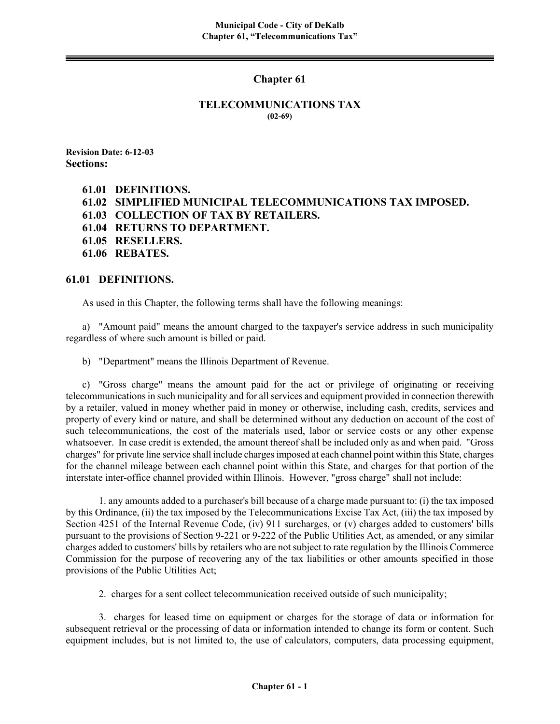## **Chapter 61**

#### **TELECOMMUNICATIONS TAX (02-69)**

**Revision Date: 6-12-03 Sections:** 

- **61.01 DEFINITIONS.**
- **61.02 SIMPLIFIED MUNICIPAL TELECOMMUNICATIONS TAX IMPOSED.**
- **61.03 COLLECTION OF TAX BY RETAILERS.**
- **61.04 RETURNS TO DEPARTMENT.**
- **61.05 RESELLERS.**
- **61.06 REBATES.**

### **61.01 DEFINITIONS.**

As used in this Chapter, the following terms shall have the following meanings:

a) "Amount paid" means the amount charged to the taxpayer's service address in such municipality regardless of where such amount is billed or paid.

b) "Department" means the Illinois Department of Revenue.

c) "Gross charge" means the amount paid for the act or privilege of originating or receiving telecommunications in such municipality and for all services and equipment provided in connection therewith by a retailer, valued in money whether paid in money or otherwise, including cash, credits, services and property of every kind or nature, and shall be determined without any deduction on account of the cost of such telecommunications, the cost of the materials used, labor or service costs or any other expense whatsoever. In case credit is extended, the amount thereof shall be included only as and when paid. "Gross charges" for private line service shall include charges imposed at each channel point within this State, charges for the channel mileage between each channel point within this State, and charges for that portion of the interstate inter-office channel provided within Illinois. However, "gross charge" shall not include:

1. any amounts added to a purchaser's bill because of a charge made pursuant to: (i) the tax imposed by this Ordinance, (ii) the tax imposed by the Telecommunications Excise Tax Act, (iii) the tax imposed by Section 4251 of the Internal Revenue Code, (iv) 911 surcharges, or (v) charges added to customers' bills pursuant to the provisions of Section 9-221 or 9-222 of the Public Utilities Act, as amended, or any similar charges added to customers' bills by retailers who are not subject to rate regulation by the Illinois Commerce Commission for the purpose of recovering any of the tax liabilities or other amounts specified in those provisions of the Public Utilities Act;

2. charges for a sent collect telecommunication received outside of such municipality;

3. charges for leased time on equipment or charges for the storage of data or information for subsequent retrieval or the processing of data or information intended to change its form or content. Such equipment includes, but is not limited to, the use of calculators, computers, data processing equipment,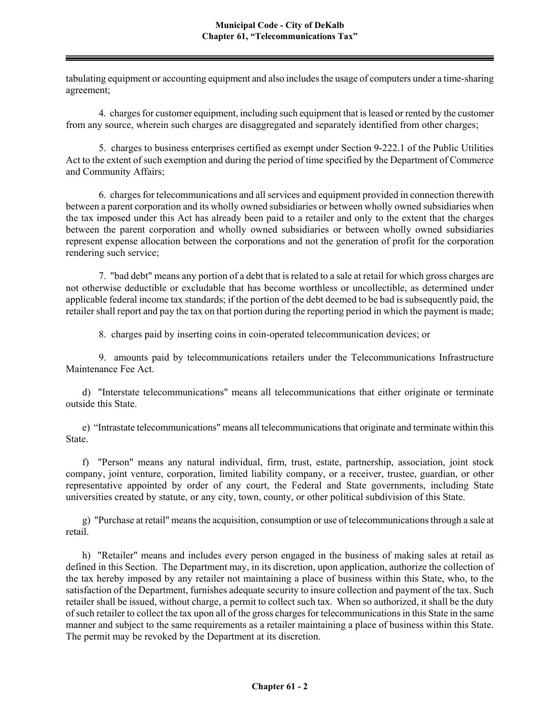tabulating equipment or accounting equipment and also includes the usage of computers under a time-sharing agreement;

4. charges for customer equipment, including such equipment that is leased or rented by the customer from any source, wherein such charges are disaggregated and separately identified from other charges;

5. charges to business enterprises certified as exempt under Section 9-222.1 of the Public Utilities Act to the extent of such exemption and during the period of time specified by the Department of Commerce and Community Affairs;

6. charges for telecommunications and all services and equipment provided in connection therewith between a parent corporation and its wholly owned subsidiaries or between wholly owned subsidiaries when the tax imposed under this Act has already been paid to a retailer and only to the extent that the charges between the parent corporation and wholly owned subsidiaries or between wholly owned subsidiaries represent expense allocation between the corporations and not the generation of profit for the corporation rendering such service;

7. "bad debt" means any portion of a debt that is related to a sale at retail for which gross charges are not otherwise deductible or excludable that has become worthless or uncollectible, as determined under applicable federal income tax standards; if the portion of the debt deemed to be bad is subsequently paid, the retailer shall report and pay the tax on that portion during the reporting period in which the payment is made;

8. charges paid by inserting coins in coin-operated telecommunication devices; or

9. amounts paid by telecommunications retailers under the Telecommunications Infrastructure Maintenance Fee Act.

d) "Interstate telecommunications" means all telecommunications that either originate or terminate outside this State.

e) "Intrastate telecommunications" means all telecommunications that originate and terminate within this State.

f) "Person" means any natural individual, firm, trust, estate, partnership, association, joint stock company, joint venture, corporation, limited liability company, or a receiver, trustee, guardian, or other representative appointed by order of any court, the Federal and State governments, including State universities created by statute, or any city, town, county, or other political subdivision of this State.

g) "Purchase at retail" means the acquisition, consumption or use of telecommunications through a sale at retail.

h) "Retailer" means and includes every person engaged in the business of making sales at retail as defined in this Section. The Department may, in its discretion, upon application, authorize the collection of the tax hereby imposed by any retailer not maintaining a place of business within this State, who, to the satisfaction of the Department, furnishes adequate security to insure collection and payment of the tax. Such retailer shall be issued, without charge, a permit to collect such tax. When so authorized, it shall be the duty of such retailer to collect the tax upon all of the gross charges for telecommunications in this State in the same manner and subject to the same requirements as a retailer maintaining a place of business within this State. The permit may be revoked by the Department at its discretion.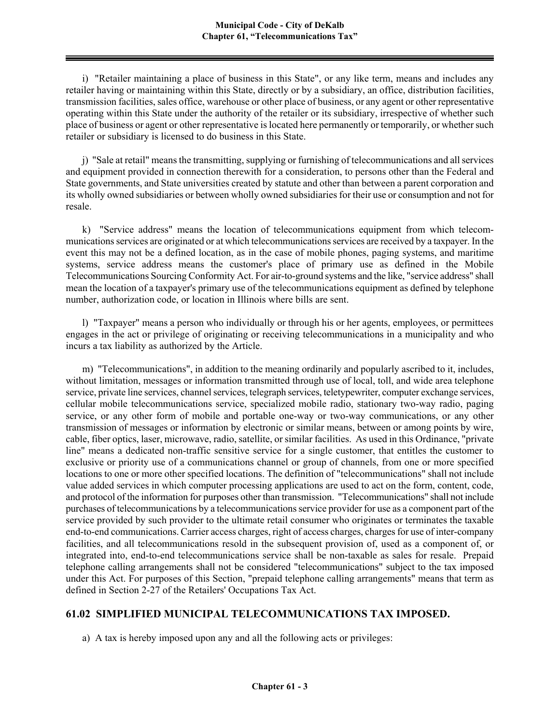i) "Retailer maintaining a place of business in this State", or any like term, means and includes any retailer having or maintaining within this State, directly or by a subsidiary, an office, distribution facilities, transmission facilities, sales office, warehouse or other place of business, or any agent or other representative operating within this State under the authority of the retailer or its subsidiary, irrespective of whether such place of business or agent or other representative is located here permanently or temporarily, or whether such retailer or subsidiary is licensed to do business in this State.

j) "Sale at retail" means the transmitting, supplying or furnishing of telecommunications and allservices and equipment provided in connection therewith for a consideration, to persons other than the Federal and State governments, and State universities created by statute and other than between a parent corporation and its wholly owned subsidiaries or between wholly owned subsidiaries for their use or consumption and not for resale.

k) "Service address" means the location of telecommunications equipment from which telecommunications services are originated or at which telecommunications services are received by a taxpayer. In the event this may not be a defined location, as in the case of mobile phones, paging systems, and maritime systems, service address means the customer's place of primary use as defined in the Mobile Telecommunications Sourcing Conformity Act. For air-to-ground systems and the like, "service address" shall mean the location of a taxpayer's primary use of the telecommunications equipment as defined by telephone number, authorization code, or location in Illinois where bills are sent.

l) "Taxpayer" means a person who individually or through his or her agents, employees, or permittees engages in the act or privilege of originating or receiving telecommunications in a municipality and who incurs a tax liability as authorized by the Article.

m) "Telecommunications", in addition to the meaning ordinarily and popularly ascribed to it, includes, without limitation, messages or information transmitted through use of local, toll, and wide area telephone service, private line services, channel services, telegraph services, teletypewriter, computer exchange services, cellular mobile telecommunications service, specialized mobile radio, stationary two-way radio, paging service, or any other form of mobile and portable one-way or two-way communications, or any other transmission of messages or information by electronic or similar means, between or among points by wire, cable, fiber optics, laser, microwave, radio, satellite, or similar facilities. As used in this Ordinance, "private line" means a dedicated non-traffic sensitive service for a single customer, that entitles the customer to exclusive or priority use of a communications channel or group of channels, from one or more specified locations to one or more other specified locations. The definition of "telecommunications" shall not include value added services in which computer processing applications are used to act on the form, content, code, and protocol of the information for purposes other than transmission. "Telecommunications" shall not include purchases of telecommunications by a telecommunications service provider for use as a component part of the service provided by such provider to the ultimate retail consumer who originates or terminates the taxable end-to-end communications. Carrier access charges, right of access charges, charges for use of inter-company facilities, and all telecommunications resold in the subsequent provision of, used as a component of, or integrated into, end-to-end telecommunications service shall be non-taxable as sales for resale. Prepaid telephone calling arrangements shall not be considered "telecommunications" subject to the tax imposed under this Act. For purposes of this Section, "prepaid telephone calling arrangements" means that term as defined in Section 2-27 of the Retailers' Occupations Tax Act.

# **61.02 SIMPLIFIED MUNICIPAL TELECOMMUNICATIONS TAX IMPOSED.**

a) A tax is hereby imposed upon any and all the following acts or privileges: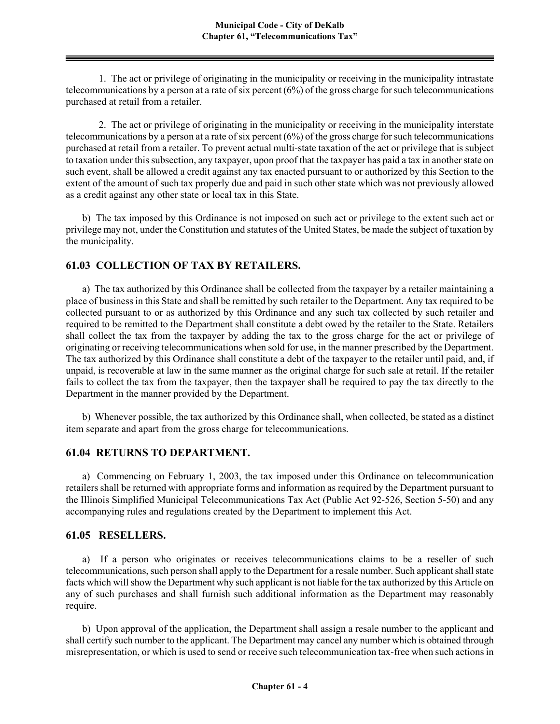1. The act or privilege of originating in the municipality or receiving in the municipality intrastate telecommunications by a person at a rate of six percent  $(6%)$  of the gross charge for such telecommunications purchased at retail from a retailer.

2. The act or privilege of originating in the municipality or receiving in the municipality interstate telecommunications by a person at a rate of six percent  $(6%)$  of the gross charge for such telecommunications purchased at retail from a retailer. To prevent actual multi-state taxation of the act or privilege that is subject to taxation under this subsection, any taxpayer, upon proof that the taxpayer has paid a tax in another state on such event, shall be allowed a credit against any tax enacted pursuant to or authorized by this Section to the extent of the amount of such tax properly due and paid in such other state which was not previously allowed as a credit against any other state or local tax in this State.

b) The tax imposed by this Ordinance is not imposed on such act or privilege to the extent such act or privilege may not, under the Constitution and statutes of the United States, be made the subject of taxation by the municipality.

## **61.03 COLLECTION OF TAX BY RETAILERS.**

a) The tax authorized by this Ordinance shall be collected from the taxpayer by a retailer maintaining a place of business in this State and shall be remitted by such retailer to the Department. Any tax required to be collected pursuant to or as authorized by this Ordinance and any such tax collected by such retailer and required to be remitted to the Department shall constitute a debt owed by the retailer to the State. Retailers shall collect the tax from the taxpayer by adding the tax to the gross charge for the act or privilege of originating or receiving telecommunications when sold for use, in the manner prescribed by the Department. The tax authorized by this Ordinance shall constitute a debt of the taxpayer to the retailer until paid, and, if unpaid, is recoverable at law in the same manner as the original charge for such sale at retail. If the retailer fails to collect the tax from the taxpayer, then the taxpayer shall be required to pay the tax directly to the Department in the manner provided by the Department.

b) Whenever possible, the tax authorized by this Ordinance shall, when collected, be stated as a distinct item separate and apart from the gross charge for telecommunications.

### **61.04 RETURNS TO DEPARTMENT.**

a) Commencing on February 1, 2003, the tax imposed under this Ordinance on telecommunication retailers shall be returned with appropriate forms and information as required by the Department pursuant to the Illinois Simplified Municipal Telecommunications Tax Act (Public Act 92-526, Section 5-50) and any accompanying rules and regulations created by the Department to implement this Act.

### **61.05 RESELLERS.**

a) If a person who originates or receives telecommunications claims to be a reseller of such telecommunications, such person shall apply to the Department for a resale number. Such applicant shall state facts which will show the Department why such applicant is not liable for the tax authorized by this Article on any of such purchases and shall furnish such additional information as the Department may reasonably require.

b) Upon approval of the application, the Department shall assign a resale number to the applicant and shall certify such number to the applicant. The Department may cancel any number which is obtained through misrepresentation, or which is used to send or receive such telecommunication tax-free when such actions in